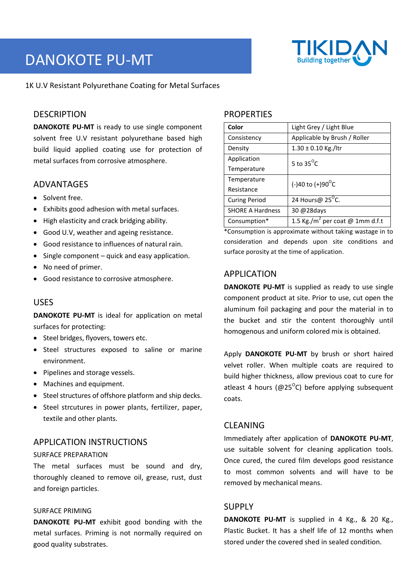# DANOKOTE PU-MT



1K U.V Resistant Polyurethane Coating for Metal Surfaces

# **DESCRIPTION**

**DANOKOTE PU-MT** is ready to use single component solvent free U.V resistant polyurethane based high build liquid applied coating use for protection of metal surfaces from corrosive atmosphere.

## ADVANTAGES

- Solvent free.
- Exhibits good adhesion with metal surfaces.
- High elasticity and crack bridging ability.
- Good U.V, weather and ageing resistance.
- Good resistance to influences of natural rain.
- Single component quick and easy application.
- No need of primer.
- Good resistance to corrosive atmosphere.

## USES

**DANOKOTE PU-MT** is ideal for application on metal surfaces for protecting:

- Steel bridges, flyovers, towers etc.
- Steel structures exposed to saline or marine environment.
- Pipelines and storage vessels.
- Machines and equipment.
- Steel structures of offshore platform and ship decks.
- Steel strcutures in power plants, fertilizer, paper, textile and other plants.

# APPLICATION INSTRUCTIONS

#### SURFACE PREPARATION

The metal surfaces must be sound and dry, thoroughly cleaned to remove oil, grease, rust, dust and foreign particles.

#### SURFACE PRIMING

**DANOKOTE PU-MT** exhibit good bonding with the metal surfaces. Priming is not normally required on good quality substrates.

# **PROPERTIES**

| Color                   | Light Grey / Light Blue                     |
|-------------------------|---------------------------------------------|
| Consistency             | Applicable by Brush / Roller                |
| Density                 | $1.30 \pm 0.10$ Kg./ltr                     |
| Application             | 5 to $35^{\circ}$ C                         |
| Temperature             |                                             |
| Temperature             | (-)40 to (+)90 <sup>o</sup> C               |
| Resistance              |                                             |
| <b>Curing Period</b>    | 24 Hours@ 25 <sup>o</sup> C.                |
| <b>SHORE A Hardness</b> | 30 @28days                                  |
| Consumption*            | 1.5 Kg./m <sup>2</sup> per coat @ 1mm d.f.t |

\*Consumption is approximate without taking wastage in to consideration and depends upon site conditions and surface porosity at the time of application.

# APPLICATION

**DANOKOTE PU-MT** is supplied as ready to use single component product at site. Prior to use, cut open the aluminum foil packaging and pour the material in to the bucket and stir the content thoroughly until homogenous and uniform colored mix is obtained.

Apply **DANOKOTE PU-MT** by brush or short haired velvet roller. When multiple coats are required to build higher thickness, allow previous coat to cure for atleast 4 hours ( $@25$ <sup>o</sup>C) before applying subsequent coats.

# CLEANING

Immediately after application of **DANOKOTE PU-MT**, use suitable solvent for cleaning application tools. Once cured, the cured film develops good resistance to most common solvents and will have to be removed by mechanical means.

## SUPPLY

**DANOKOTE PU-MT** is supplied in 4 Kg., & 20 Kg., Plastic Bucket. It has a shelf life of 12 months when stored under the covered shed in sealed condition.